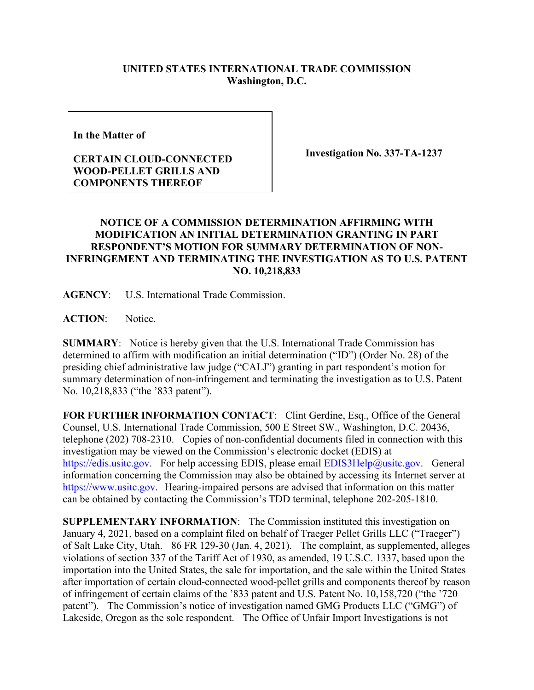## **UNITED STATES INTERNATIONAL TRADE COMMISSION Washington, D.C.**

**In the Matter of** 

## **CERTAIN CLOUD-CONNECTED WOOD-PELLET GRILLS AND COMPONENTS THEREOF**

**Investigation No. 337-TA-1237**

## **NOTICE OF A COMMISSION DETERMINATION AFFIRMING WITH MODIFICATION AN INITIAL DETERMINATION GRANTING IN PART RESPONDENT'S MOTION FOR SUMMARY DETERMINATION OF NON-INFRINGEMENT AND TERMINATING THE INVESTIGATION AS TO U.S. PATENT NO. 10,218,833**

**AGENCY**: U.S. International Trade Commission.

**ACTION**: Notice.

**SUMMARY**: Notice is hereby given that the U.S. International Trade Commission has determined to affirm with modification an initial determination ("ID") (Order No. 28) of the presiding chief administrative law judge ("CALJ") granting in part respondent's motion for summary determination of non-infringement and terminating the investigation as to U.S. Patent No. 10,218,833 ("the '833 patent").

**FOR FURTHER INFORMATION CONTACT**: Clint Gerdine, Esq., Office of the General Counsel, U.S. International Trade Commission, 500 E Street SW., Washington, D.C. 20436, telephone (202) 708-2310. Copies of non-confidential documents filed in connection with this investigation may be viewed on the Commission's electronic docket (EDIS) at [https://edis.usitc.gov.](https://edis.usitc.gov/) For help accessing EDIS, please email [EDIS3Help@usitc.gov.](mailto:EDIS3Help@usitc.gov) General information concerning the Commission may also be obtained by accessing its Internet server at [https://www.usitc.gov.](https://www.usitc.gov/) Hearing-impaired persons are advised that information on this matter can be obtained by contacting the Commission's TDD terminal, telephone 202-205-1810.

**SUPPLEMENTARY INFORMATION**: The Commission instituted this investigation on January 4, 2021, based on a complaint filed on behalf of Traeger Pellet Grills LLC ("Traeger") of Salt Lake City, Utah. 86 FR 129-30 (Jan. 4, 2021). The complaint, as supplemented, alleges violations of section 337 of the Tariff Act of 1930, as amended, 19 U.S.C. 1337, based upon the importation into the United States, the sale for importation, and the sale within the United States after importation of certain cloud-connected wood-pellet grills and components thereof by reason of infringement of certain claims of the '833 patent and U.S. Patent No. 10,158,720 ("the '720 patent"). The Commission's notice of investigation named GMG Products LLC ("GMG") of Lakeside, Oregon as the sole respondent. The Office of Unfair Import Investigations is not